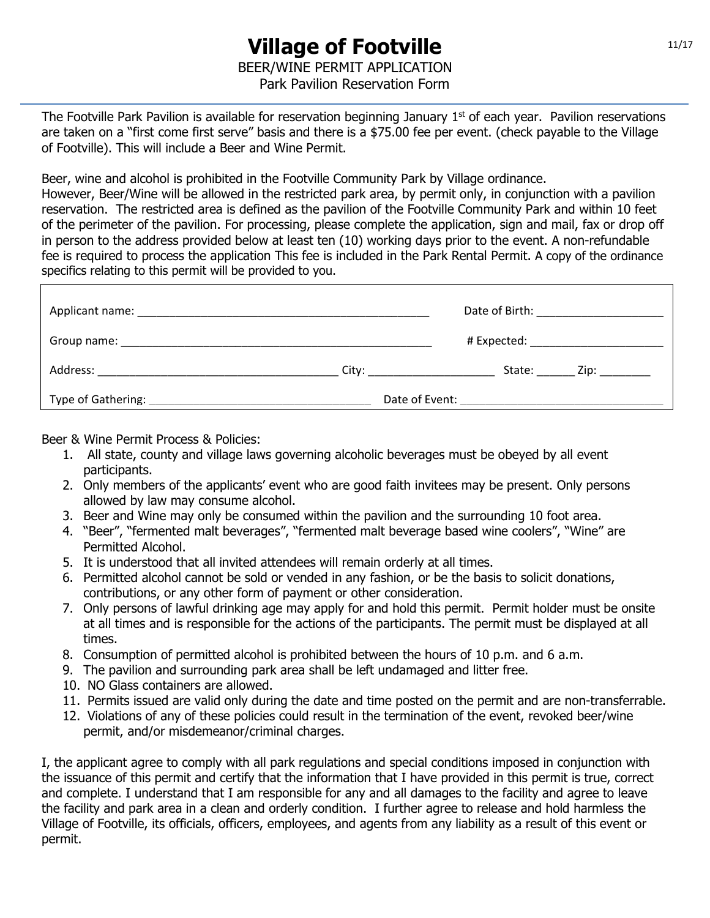The Footville Park Pavilion is available for reservation beginning January  $1<sup>st</sup>$  of each year. Pavilion reservations are taken on a "first come first serve" basis and there is a \$75.00 fee per event. (check payable to the Village of Footville). This will include a Beer and Wine Permit.

Beer, wine and alcohol is prohibited in the Footville Community Park by Village ordinance.

However, Beer/Wine will be allowed in the restricted park area, by permit only, in conjunction with a pavilion reservation. The restricted area is defined as the pavilion of the Footville Community Park and within 10 feet of the perimeter of the pavilion. For processing, please complete the application, sign and mail, fax or drop off in person to the address provided below at least ten (10) working days prior to the event. A non-refundable fee is required to process the application This fee is included in the Park Rental Permit. A copy of the ordinance specifics relating to this permit will be provided to you.

| Applicant name:<br><u> 1980 - Johann Barn, mars ann an t-Amhain an t-Amhair an t-Amhair an t-Amhair an t-Amhair an t-Amhair an t-Amh</u>                                                                                       | Date of Birth: <u>Increase</u>                                   |
|--------------------------------------------------------------------------------------------------------------------------------------------------------------------------------------------------------------------------------|------------------------------------------------------------------|
|                                                                                                                                                                                                                                | # Expected: _________________________                            |
| Address: Analysis and the contract of the contract of the contract of the contract of the contract of the contract of the contract of the contract of the contract of the contract of the contract of the contract of the cont | State: ________ Zip: _________<br>City: ________________________ |
| Type of Gathering:                                                                                                                                                                                                             | Date of Event:                                                   |

Beer & Wine Permit Process & Policies:

- 1. All state, county and village laws governing alcoholic beverages must be obeyed by all event participants.
- 2. Only members of the applicants' event who are good faith invitees may be present. Only persons allowed by law may consume alcohol.
- 3. Beer and Wine may only be consumed within the pavilion and the surrounding 10 foot area.
- 4. "Beer", "fermented malt beverages", "fermented malt beverage based wine coolers", "Wine" are Permitted Alcohol.
- 5. It is understood that all invited attendees will remain orderly at all times.
- 6. Permitted alcohol cannot be sold or vended in any fashion, or be the basis to solicit donations, contributions, or any other form of payment or other consideration.
- 7. Only persons of lawful drinking age may apply for and hold this permit. Permit holder must be onsite at all times and is responsible for the actions of the participants. The permit must be displayed at all times.
- 8. Consumption of permitted alcohol is prohibited between the hours of 10 p.m. and 6 a.m.
- 9. The pavilion and surrounding park area shall be left undamaged and litter free.
- 10. NO Glass containers are allowed.
- 11. Permits issued are valid only during the date and time posted on the permit and are non-transferrable.
- 12. Violations of any of these policies could result in the termination of the event, revoked beer/wine permit, and/or misdemeanor/criminal charges.

I, the applicant agree to comply with all park regulations and special conditions imposed in conjunction with the issuance of this permit and certify that the information that I have provided in this permit is true, correct and complete. I understand that I am responsible for any and all damages to the facility and agree to leave the facility and park area in a clean and orderly condition. I further agree to release and hold harmless the Village of Footville, its officials, officers, employees, and agents from any liability as a result of this event or permit.